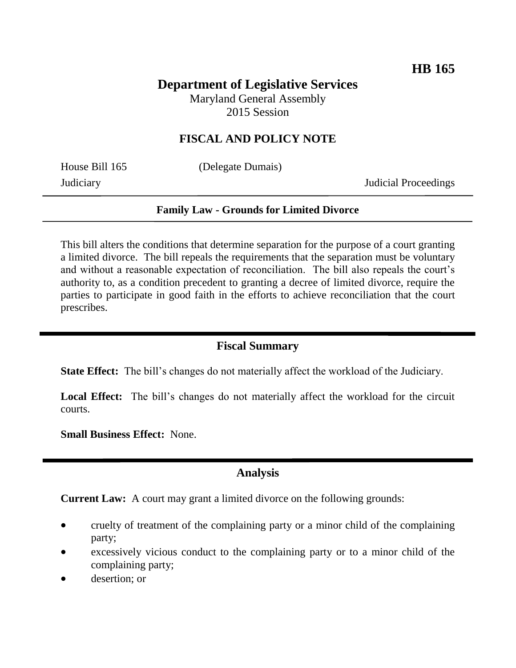# **Department of Legislative Services**

Maryland General Assembly 2015 Session

## **FISCAL AND POLICY NOTE**

House Bill 165 (Delegate Dumais)

Judiciary Judicial Proceedings

#### **Family Law - Grounds for Limited Divorce**

This bill alters the conditions that determine separation for the purpose of a court granting a limited divorce. The bill repeals the requirements that the separation must be voluntary and without a reasonable expectation of reconciliation. The bill also repeals the court's authority to, as a condition precedent to granting a decree of limited divorce, require the parties to participate in good faith in the efforts to achieve reconciliation that the court prescribes.

### **Fiscal Summary**

**State Effect:** The bill's changes do not materially affect the workload of the Judiciary.

Local Effect: The bill's changes do not materially affect the workload for the circuit courts.

**Small Business Effect:** None.

#### **Analysis**

**Current Law:** A court may grant a limited divorce on the following grounds:

- cruelty of treatment of the complaining party or a minor child of the complaining party;
- excessively vicious conduct to the complaining party or to a minor child of the complaining party;
- desertion; or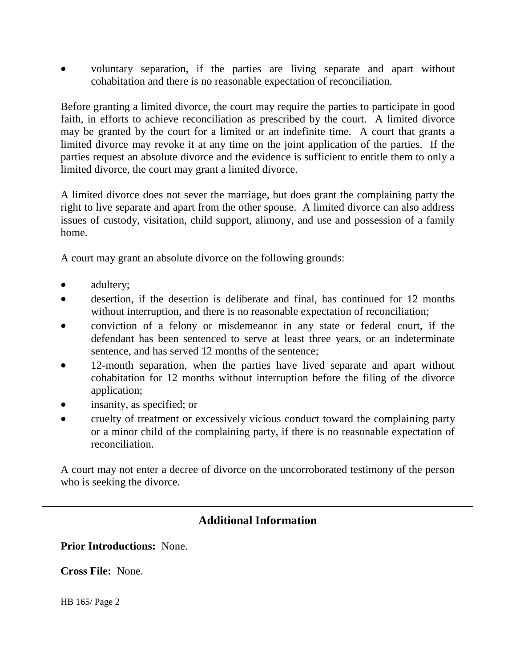voluntary separation, if the parties are living separate and apart without cohabitation and there is no reasonable expectation of reconciliation.

Before granting a limited divorce, the court may require the parties to participate in good faith, in efforts to achieve reconciliation as prescribed by the court. A limited divorce may be granted by the court for a limited or an indefinite time. A court that grants a limited divorce may revoke it at any time on the joint application of the parties. If the parties request an absolute divorce and the evidence is sufficient to entitle them to only a limited divorce, the court may grant a limited divorce.

A limited divorce does not sever the marriage, but does grant the complaining party the right to live separate and apart from the other spouse. A limited divorce can also address issues of custody, visitation, child support, alimony, and use and possession of a family home.

A court may grant an absolute divorce on the following grounds:

- adultery;
- desertion, if the desertion is deliberate and final, has continued for 12 months without interruption, and there is no reasonable expectation of reconciliation;
- conviction of a felony or misdemeanor in any state or federal court, if the defendant has been sentenced to serve at least three years, or an indeterminate sentence, and has served 12 months of the sentence;
- 12-month separation, when the parties have lived separate and apart without cohabitation for 12 months without interruption before the filing of the divorce application;
- insanity, as specified; or
- cruelty of treatment or excessively vicious conduct toward the complaining party or a minor child of the complaining party, if there is no reasonable expectation of reconciliation.

A court may not enter a decree of divorce on the uncorroborated testimony of the person who is seeking the divorce.

# **Additional Information**

**Prior Introductions:** None.

**Cross File:** None.

HB 165/ Page 2